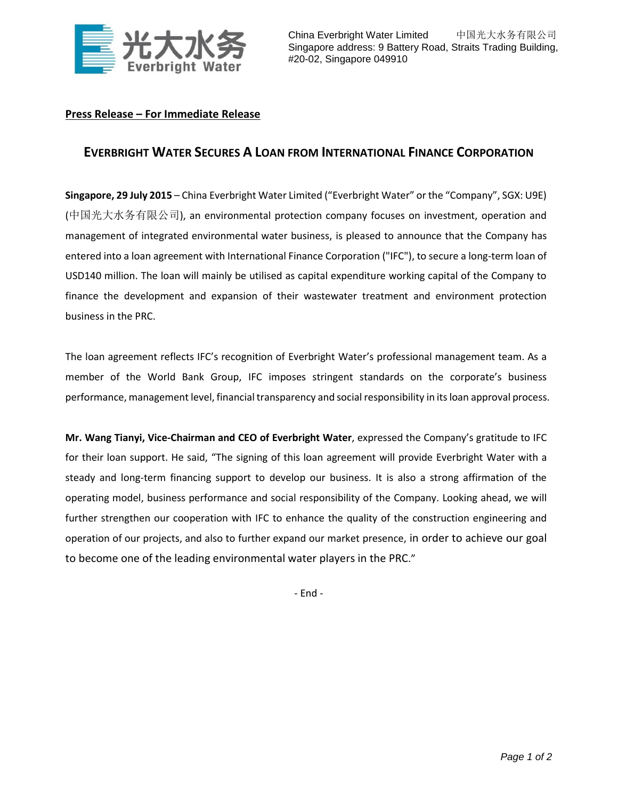

China Everbright Water Limited 中国光大水务有限公司 Singapore address: 9 Battery Road, Straits Trading Building, #20-02, Singapore 049910

## **Press Release – For Immediate Release**

## **EVERBRIGHT WATER SECURES A LOAN FROM INTERNATIONAL FINANCE CORPORATION**

**Singapore, 29 July 2015** – China Everbright Water Limited ("Everbright Water" or the "Company", SGX: U9E) (中国光大水务有限公司), an environmental protection company focuses on investment, operation and management of integrated environmental water business, is pleased to announce that the Company has entered into a loan agreement with International Finance Corporation ("IFC"), to secure a long-term loan of USD140 million. The loan will mainly be utilised as capital expenditure working capital of the Company to finance the development and expansion of their wastewater treatment and environment protection business in the PRC.

The loan agreement reflects IFC's recognition of Everbright Water's professional management team. As a member of the World Bank Group, IFC imposes stringent standards on the corporate's business performance, management level, financial transparency and social responsibility in its loan approval process.

**Mr. Wang Tianyi, Vice-Chairman and CEO of Everbright Water**, expressed the Company's gratitude to IFC for their loan support. He said, "The signing of this loan agreement will provide Everbright Water with a steady and long-term financing support to develop our business. It is also a strong affirmation of the operating model, business performance and social responsibility of the Company. Looking ahead, we will further strengthen our cooperation with IFC to enhance the quality of the construction engineering and operation of our projects, and also to further expand our market presence, in order to achieve our goal to become one of the leading environmental water players in the PRC."

- End -